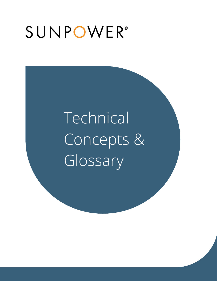## SUNPOWER®

# Technical Concepts & Glossary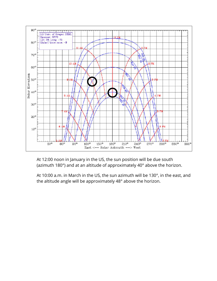

At 12:00 noon in January in the US, the sun position will be due south (azimuth 180°) and at an altitude of approximately 40° above the horizon.

At 10:00 a.m. in March in the US, the sun azimuth will be 130°, in the east, and the altitude angle will be approximately 48° above the horizon.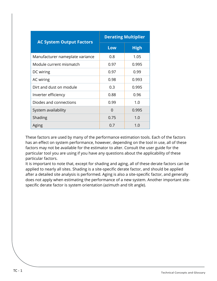| <b>AC System Output Factors</b> | <b>Derating Multiplier</b> |             |  |
|---------------------------------|----------------------------|-------------|--|
|                                 | Low                        | <b>High</b> |  |
| Manufacturer nameplate variance | 0.8                        | 1.05        |  |
| Module current mismatch         | 0.97                       | 0.995       |  |
| DC wiring                       | 0.97                       | 0.99        |  |
| AC wiring                       | 0.98                       | 0.993       |  |
| Dirt and dust on module         | 0.3                        | 0.995       |  |
| Inverter efficiency             | 0.88                       | 0.96        |  |
| Diodes and connections          | 0.99                       | 1.0         |  |
| System availability             | 0                          | 0.995       |  |
| Shading                         | 0.75                       | 1.0         |  |
| Aging                           | 0.7                        | 1.0         |  |

These factors are used by many of the performance estimation tools. Each of the factors has an effect on system performance, however, depending on the tool in use, all of these factors may not be available for the estimator to alter. Consult the user guide for the particular tool you are using if you have any questions about the applicability of these particular factors.

It is important to note that, except for shading and aging, all of these derate factors can be applied to nearly all sites. Shading is a site-specific derate factor, and should be applied after a detailed site analysis is performed. Aging is also a site-specific factor, and generally does not apply when estimating the performance of a new system. Another important sitespecific derate factor is system orientation (azimuth and tilt angle).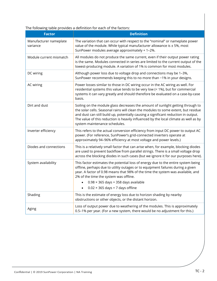The following table provides a definition for each of the factors:

| <b>Factor</b>                      | <b>Definition</b>                                                                                                                                                                                                                                                                                                                                                                                        |
|------------------------------------|----------------------------------------------------------------------------------------------------------------------------------------------------------------------------------------------------------------------------------------------------------------------------------------------------------------------------------------------------------------------------------------------------------|
| Manufacturer nameplate<br>variance | The variation that can occur with respect to the "nominal" or nameplate power<br>value of the module. While typical manufacturer allowance is $\pm$ 5%, most<br>SunPower modules average approximately + 1-2%.                                                                                                                                                                                           |
| Module current mismatch            | All modules do not produce the same current, even if their output power rating<br>is the same. Modules connected in series are limited to the current output of the<br>lowest-producing module. A variation of 1% is common for most modules.                                                                                                                                                            |
| DC wiring                          | Although power loss due to voltage drop and connections may be 1-3%,<br>SunPower recommends keeping this to no more than -1% in your designs.                                                                                                                                                                                                                                                            |
| AC wiring                          | Power losses similar to those in DC wiring occur in the AC wiring as well. For<br>residential systems this value tends to be very low (< 1%), but for commercial<br>systems it can vary greatly and should therefore be evaluated on a case-by-case<br>basis.                                                                                                                                            |
| Dirt and dust                      | Soiling on the module glass decreases the amount of sunlight getting through to<br>the solar cells. Seasonal rains will clean the modules to some extent, but residue<br>and dust can still build up, potentially causing a significant reduction in output.<br>The value of this reduction is heavily influenced by the local climate as well as by<br>system maintenance schedules.                    |
| Inverter efficiency                | This refers to the actual conversion efficiency from input DC power to output AC<br>power. (For reference, SunPower's grid-connected inverters operate at<br>approximately 94-96% efficiency at most voltage and power levels.)                                                                                                                                                                          |
| Diodes and connections             | This is a relatively small factor that can arise when, for example, blocking diodes<br>are used to prevent backflow from parallel strings. There is a small voltage drop<br>across the blocking diodes in such cases (but we ignore it for our purposes here).                                                                                                                                           |
| System availability                | This factor estimates the potential loss of energy due to the entire system being<br>offline, perhaps due to utility outages or to equipment failures during a given<br>year. A factor of 0.98 means that 98% of the time the system was available, and<br>2% of the time the system was offline.<br>$0.98 \times 365$ days = 358 days available<br>$0.02 \times 365$ days = 7 days offline<br>$\bullet$ |
| Shading                            | This is the estimate of energy loss due to horizon shading by nearby<br>obstructions or other objects, or the distant horizon.                                                                                                                                                                                                                                                                           |
| Aging                              | Loss of output power due to weathering of the modules. This is approximately<br>0.5-1% per year. (For a new system, there would be no adjustment for this.)                                                                                                                                                                                                                                              |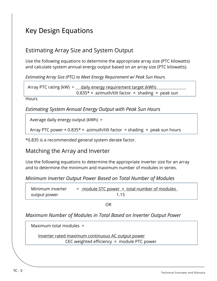## Key Design Equations

### Estimating Array Size and System Output

Use the following equations to determine the appropriate array size (PTC kilowatts) and calculate system annual energy output based on an array size (PTC kilowatts).

*Estimating Array Size (PTC) to Meet Energy Requirement w/ Peak Sun Hours*

Array PTC rating (kW) =  $\qquad$  daily energy requirement target (kWh) 0.835\*  $\times$  azimuth/tilt factor  $\times$  shading  $\times$  peak sun

**Hours** 

*Estimating System Annual Energy Output with Peak Sun Hours*

Average daily energy output (kWh) =

Array PTC power  $\times$  0.835\*  $\times$  azimuth/tilt factor  $\times$  shading  $\times$  peak sun hours

\*0.835 is a recommended general system derate factor.

#### Matching the Array and Inverter

Use the following equations to determine the appropriate inverter size for an array and to determine the minimum and maximum number of modules in series.

*Minimum Inverter Output Power Based on Total Number of Modules*

Minimum inverter  $=$  module STC power  $\times$  total number of modules output power and the state of the 1.15

OR

*Maximum Number of Modules in Total Based on Inverter Output Power*

Maximum total modules =

Inverter rated maximum continuous AC output power CEC weighted efficiency × module PTC power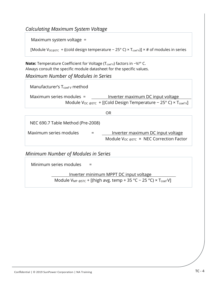#### *Calculating Maximum System Voltage*

Maximum system voltage =

[Module V<sub>OC@STC</sub> + ((cold design temperature - 25° C) × T<sub>coef V</sub>)] × # of modules in series

Note: Temperature Coefficient for Voltage (T<sub>coef V</sub>) factors in -V/° C. Always consult the specific module datasheet for the specific values.

*Maximum Number of Modules in Series*

Manufacturer's  $T_{\text{coeff}}$  method Maximum series modules = Inverter maximum DC input voltage Module V<sub>OC @STC</sub> + [(Cold Design Temperature − 25° C) × T<sub>coef V</sub>]

|                                   | OR |                                                                                             |
|-----------------------------------|----|---------------------------------------------------------------------------------------------|
| NEC 690.7 Table Method (Pre-2008) |    |                                                                                             |
| Maximum series modules            |    | <u>Inverter maximum DC input voltage</u><br>Module $V_{OC \, @STC}$ × NEC Correction Factor |

*Minimum Number of Modules in Series*

Minimum series modules  $=$ Inverter minimum MPPT DC input voltage Module V<sub>MP @STC</sub> + [(high avg. temp + 35 °C – 25 °C) × T<sub>coef</sub> V]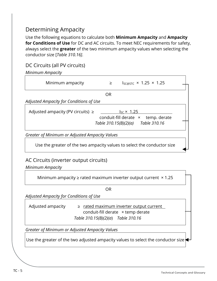## Determining Ampacity

Use the following equations to calculate both **Minimum Ampacity** and **Ampacity for Conditions of Use** for DC and AC circuits. To meet NEC requirements for safety, always select the **greater** of the two minimum ampacity values when selecting the conductor size [*Table 310.16]*.

#### DC Circuits (all PV circuits)

| Minimum Ampacity                                                        |    |                                                          |
|-------------------------------------------------------------------------|----|----------------------------------------------------------|
| Minimum ampacity                                                        | ≥  | $I_{SC@STC}$ × 1.25 × 1.25                               |
|                                                                         | OR |                                                          |
| Adjusted Ampacity for Conditions of Use                                 |    |                                                          |
| Adjusted ampacity (PV circuits) $\ge$                                   |    | $I_{SC}$ × 1.25<br>conduit-fill derate x<br>temp. derate |
|                                                                         |    | Table 310.15(B)(2)(a) Table 310.16                       |
| Greater of Minimum or Adjusted Ampacity Values                          |    |                                                          |
| Use the greater of the two ampacity values to select the conductor size |    |                                                          |

#### AC Circuits (inverter output circuits)

*Minimum Ampacity*

Minimum ampacity  $\geq$  rated maximum inverter output current  $\times$  1.25

OR

*Adjusted Ampacity for Conditions of Use*

Adjusted ampacity  $\geq$  rated maximum inverter output current conduit-fill derate × temp derate *Table 310.15(B)(2)(a*) *Table 310.16*

*Greater of Minimum or Adjusted Ampacity Values*

Use the greater of the two adjusted ampacity values to select the conductor size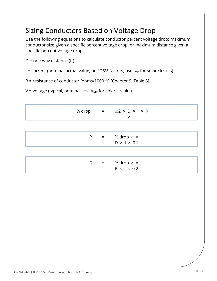## Sizing Conductors Based on Voltage Drop

Use the following equations to calculate conductor percent voltage drop; maximum conductor size given a specific percent voltage drop; or maximum distance given a specific percent voltage drop.

 $D =$  one-way distance (ft)

I = current (nominal actual value, no 125% factors, use  $I_{MP}$  for solar circuits)

R = resistance of conductor (ohms/1000 ft) [Chapter 9, Table 8]

 $V =$  voltage (typical, nominal, use  $V_{MP}$  for solar circuits)

| % drop |                           | $=$ 0.2 × D × I × R<br>V                                           |
|--------|---------------------------|--------------------------------------------------------------------|
|        |                           |                                                                    |
| R      | $\mathbf{r} = \mathbf{r}$ | $%$ drop $\times$ V<br>$D \times$   $\times$ 0.2                   |
|        |                           |                                                                    |
| D      | $\alpha = 1$              | $\frac{\% \text{ drop} \times V}{\%}$<br>$R \times$   $\times$ 0.2 |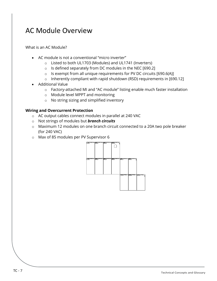## AC Module Overview

What is an AC Module?

- AC module is not a conventional "micro inverter"
	- o Listed to both UL1703 (Modules) and UL1741 (Inverters)
	- o Is defined separately from DC modules in the NEC [690.2]
	- o Is exempt from all unique requirements for PV DC circuits [690.6(A)]
	- o Inherently compliant with rapid shutdown (RSD) requirements in [690.12]
- Additional Value
	- o Factory-attached MI and "AC module" listing enable much faster installation
	- o Module level MPPT and monitoring
	- o No string sizing and simplified inventory

#### **Wiring and Overcurrent Protection**

- o AC output cables connect modules in parallel at 240 VAC
- o Not strings of modules but *branch circuits*
- o Maximum 12 modules on one branch circuit connected to a 20A two pole breaker (for 240 VAC)
- o Max of 85 modules per PV Supervisor 6

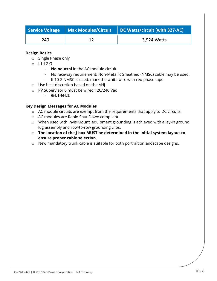|     | Service Voltage   Max Modules/Circuit | DC Watts/circuit (with 327-AC) |
|-----|---------------------------------------|--------------------------------|
| 240 |                                       | 3,924 Watts                    |

#### **Design Basics**

- o Single Phase only
- o L1-L2-G
	- **No neutral** in the AC module circuit
	- No raceway requirement: Non-Metallic Sheathed (NMSC) cable may be used.
	- If 10-2 NMSC is used: mark the white wire with red phase tape
- o Use best discretion based on the AHJ
- o PV Supervisor 6 must be wired 120/240 Vac
	- **G-L1-N-L2**

#### **Key Design Messages for AC Modules**

- o AC module circuits are exempt from the requirements that apply to DC circuits.
- o AC modules are Rapid Shut Down compliant.
- o When used with InvisiMount, equipment grounding is achieved with a lay-in ground lug assembly and row-to-row grounding clips.
- o **The location of the J-box MUST be determined in the initial system layout to ensure proper cable selection.**
- o New mandatory trunk cable is suitable for both portrait or landscape designs.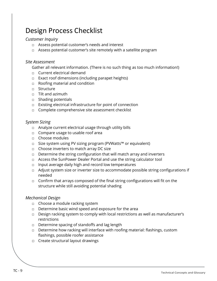## Design Process Checklist

#### *Customer Inquiry*

- □ Assess potential customer's needs and interest
- □ Assess potential customer's site remotely with a satellite program

#### *Site Assessment*

Gather all relevant information. (There is no such thing as too much information!)

- □ Current electrical demand
- □ Exact roof dimensions (including parapet heights)
- □ Roofing material and condition
- □ Structure
- □ Tilt and azimuth
- □ Shading potentials
- □ Existing electrical infrastructure for point of connection
- □ Complete comprehensive site assessment checklist

#### *System Sizing*

- □ Analyze current electrical usage through utility bills
- □ Compare usage to usable roof area
- □ Choose modules
- □ Size system using PV sizing program (PVWatts™ or equivalent)
- □ Choose inverters to match array DC size
- $\Box$  Determine the string configuration that will match array and inverters
- □ Access the SunPower Dealer Portal and use the string calculator tool
- □ Input average daily high and record low temperatures
- □ Adjust system size or inverter size to accommodate possible string configurations if needed
- $\Box$  Confirm that arrays composed of the final string configurations will fit on the structure while still avoiding potential shading

#### *Mechanical Design*

- □ Choose a module racking system
- □ Determine basic wind speed and exposure for the area
- □ Design racking system to comply with local restrictions as well as manufacturer's restrictions
- □ Determine spacing of standoffs and lag length
- □ Determine how racking will interface with roofing material: flashings, custom flashings, possible roofer assistance
- □ Create structural layout drawings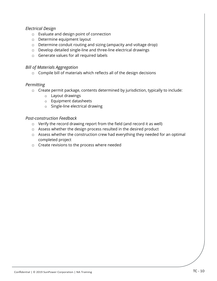#### *Electrical Design*

- □ Evaluate and design point of connection
- □ Determine equipment layout
- $\Box$  Determine conduit routing and sizing (ampacity and voltage drop)
- □ Develop detailed single-line and three-line electrical drawings
- □ Generate values for all required labels

#### *Bill of Materials Aggregation*

 $\Box$  Compile bill of materials which reflects all of the design decisions

#### *Permitting*

- □ Create permit package, contents determined by jurisdiction, typically to include:
	- o Layout drawings
	- o Equipment datasheets
	- o Single-line electrical drawing

#### *Post-construction Feedback*

- □ Verify the record drawing report from the field (and record it as well)
- □ Assess whether the design process resulted in the desired product
- □ Assess whether the construction crew had everything they needed for an optimal completed project
- □ Create revisions to the process where needed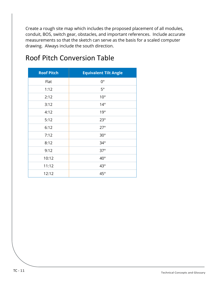Create a rough site map which includes the proposed placement of all modules, conduit, BOS, switch gear, obstacles, and important references. Include accurate measurements so that the sketch can serve as the basis for a scaled computer drawing. Always include the south direction.

| <b>Roof Pitch</b> | <b>Equivalent Tilt Angle</b> |
|-------------------|------------------------------|
| Flat              | $0^{\circ}$                  |
| 1:12              | $5^{\circ}$                  |
| 2:12              | $10^{\circ}$                 |
| 3:12              | $14^{\circ}$                 |
| 4:12              | 19°                          |
| 5:12              | $23^\circ$                   |
| 6:12              | $27^\circ$                   |
| 7:12              | $30^{\circ}$                 |
| 8:12              | $34^\circ$                   |
| 9:12              | $37^\circ$                   |
| 10:12             | $40^{\circ}$                 |
| 11:12             | $43^\circ$                   |
| 12:12             | $45^{\circ}$                 |

## Roof Pitch Conversion Table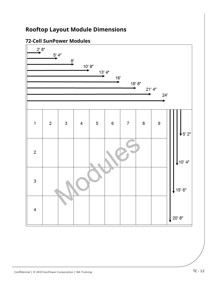## **Rooftop Layout Module Dimensions**

#### **72-Cell SunPower Modules**

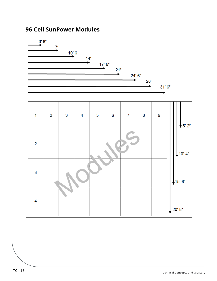### **96-Cell SunPower Modules**

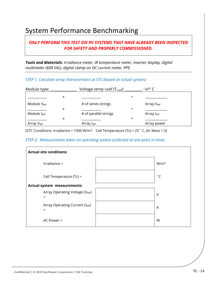## System Performance Benchmarking

#### *ONLY PERFORM THIS TEST ON PV SYSTEMS THAT HAVE ALREADY BEEN INSPECTED FOR SAFETY AND PROPERLY COMMISSIONED.*

*Tools and Materials: Irradiance meter, IR temperature meter, inverter display, digital multimeter (600 Vdc), digital clamp-on DC current meter, PPE.* 

#### *STEP 1. Calculate array characteristics at STC (based on actual system):*

| Module type:           |   | Voltage temp coef $(T_{\text{coef}})$ : | $-V/°$ C              |  |
|------------------------|---|-----------------------------------------|-----------------------|--|
|                        | x |                                         |                       |  |
| Module V <sub>MP</sub> |   | # of series strings                     | Array V <sub>MP</sub> |  |
|                        | х |                                         |                       |  |
| Module I <sub>MP</sub> |   | # of parallel strings                   | Array I <sub>MP</sub> |  |
|                        | х |                                         |                       |  |
| Array V <sub>MP</sub>  |   | Array I <sub>MP</sub>                   | Array power           |  |

(STC Conditions: Irradiance = 1000 W/m<sup>2</sup>; Cell Temperature (Tc) = 25 $\degree$  C, Air Mass 1.5)

*STEP 2. Measurements taken on operating system (collected at one point in time):* 

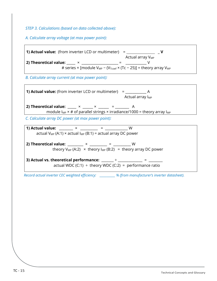*STEP 3. Calculations (based on data collected above):*

*A. Calculate array voltage (at max power point):*

**1) Actual value:** (from inverter LCD or multimeter) =  $\sqrt{V}$  $\epsilon$  and  $\epsilon$  array V $_{\textsf{MP}}$ **2) Theoretical value:** \_\_\_\_\_ × \_\_\_\_\_\_\_\_\_\_\_\_\_\_\_\_\_\_\_\_\_ = \_\_\_\_\_\_\_\_\_\_\_\_ V # series × [module  $V_{MP}$  – ( $V_{Toef}$  × (Tc – 25)] = theory array  $V_{MP}$ *B. Calculate array current (at max power point):* **1) Actual value:** (from inverter LCD or multimeter) = \_\_\_\_\_\_\_\_\_\_\_\_ A Actual array  $I_{MP}$ **2) Theoretical value:** \_\_\_\_  $\times$  \_\_\_\_  $\times$  \_\_\_\_ = \_\_\_\_\_\_ A module  $I_{MP}$  × # of parallel strings × irradiance/1000 = theory array  $I_{MP}$ *C. Calculate array DC power (at max power point):* **1)** Actual value:  $\begin{array}{ccc} \times & \times & \end{array}$  =  $\begin{array}{ccc} \vee & \vee & \end{array}$ actual  $V_{MP}$  (A:1) × actual  $I_{MP}$  (B:1) = actual array DC power **2) Theoretical value:** \_\_\_\_\_\_\_\_\_ × \_\_\_\_\_\_\_\_\_\_ = \_\_\_\_\_\_\_\_\_\_ W theory  $V_{MP}$  (A:2)  $\times$  theory  $I_{MP}$  (B:2) = theory array DC power **3) Actual vs. theoretical performance:**  $\frac{1}{2}$   $\frac{1}{2}$   $\frac{1}{2}$   $\frac{1}{2}$   $\frac{1}{2}$   $\frac{1}{2}$ actual WDC (C:1)  $\div$  theory WDC (C:2) = performance ratio *Record actual inverter CEC weighted efficiency: \_\_\_\_\_\_\_\_\_\_\_ % (from manufacturer's inverter datasheet).*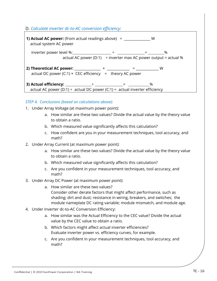#### D. *Calculate inverter dc-to-AC conversion efficiency:*



#### *STEP 4. Conclusions (based on calculations above):*

- 1. Under Array Voltage (at maximum power point):
	- a. How similar are these two values? Divide the actual value by the theory value to obtain a ratio.
	- b. Which measured value significantly affects this calculation?
	- c. How confident are you in your measurement techniques, tool accuracy, and math?
- 2. Under Array Current (at maximum power point):
	- a. How similar are these two values? Divide the actual value by the theory value to obtain a ratio.
	- b. Which measured value significantly affects this calculation?
	- c. Are you confident in your measurement techniques, tool accuracy, and math?
- 3. Under Array DC Power (at maximum power point):
	- a. How similar are these two values? Consider other derate factors that might affect performance, such as shading; dirt and dust; resistance in wiring, breakers, and switches; the module nameplate DC rating variable; module mismatch, and module age.
- 4. Under Inverter dc-to-AC Conversion Efficiency:
	- a. How similar was the Actual Efficiency to the CEC value? Divide the actual value by the CEC value to obtain a ratio.
	- b. Which factors might affect actual inverter efficiencies? Evaluate inverter power vs. efficiency curves, for example.
	- c. Are you confident in your measurement techniques, tool accuracy, and math?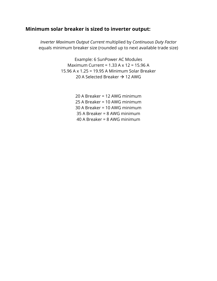#### **Minimum solar breaker is sized to inverter output:**

*Inverter Maximum Output Current* multiplied by *Continuous Duty Factor* equals minimum breaker size (rounded up to next available trade size)

> Example: 6 SunPower AC Modules Maximum Current = 1.33 A x 12 = 15.96 A 15.96 A x 1.25 = 19.95 A Minimum Solar Breaker 20 A Selected Breaker  $\rightarrow$  12 AWG

> > 20 A Breaker = 12 AWG minimum 25 A Breaker = 10 AWG minimum 30 A Breaker = 10 AWG minimum 35 A Breaker = 8 AWG minimum 40 A Breaker = 8 AWG minimum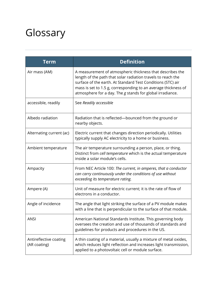## Glossary

| Term                                   | <b>Definition</b>                                                                                                                                                                                                                                                                                                       |
|----------------------------------------|-------------------------------------------------------------------------------------------------------------------------------------------------------------------------------------------------------------------------------------------------------------------------------------------------------------------------|
| Air mass (AM)                          | A measurement of atmospheric thickness that describes the<br>length of the path that solar radiation travels to reach the<br>surface of the earth. At Standard Test Conditions (STC) air<br>mass is set to 1.5 g, corresponding to an average thickness of<br>atmosphere for a day. The g stands for global irradiance. |
| accessible, readily                    | See Readily accessible                                                                                                                                                                                                                                                                                                  |
| Albedo radiation                       | Radiation that is reflected—bounced from the ground or<br>nearby objects.                                                                                                                                                                                                                                               |
| Alternating current (ac)               | Electric current that changes direction periodically. Utilities<br>typically supply AC electricity to a home or business.                                                                                                                                                                                               |
| Ambient temperature                    | The air temperature surrounding a person, place, or thing.<br>Distinct from cell temperature which is the actual temperature<br>inside a solar module's cells.                                                                                                                                                          |
| Ampacity                               | From NEC Article 100: The current, in amperes, that a conductor<br>can carry continuously under the conditions of use without<br>exceeding its temperature rating.                                                                                                                                                      |
| Ampere (A)                             | Unit of measure for electric current; it is the rate of flow of<br>electrons in a conductor.                                                                                                                                                                                                                            |
| Angle of incidence                     | The angle that light striking the surface of a PV module makes<br>with a line that is perpendicular to the surface of that module.                                                                                                                                                                                      |
| <b>ANSI</b>                            | American National Standards Institute. This governing body<br>oversees the creation and use of thousands of standards and<br>guidelines for products and procedures in the US.                                                                                                                                          |
| Antireflective coating<br>(AR coating) | A thin coating of a material, usually a mixture of metal oxides,<br>which reduces light reflection and increases light transmission,<br>applied to a photovoltaic cell or module surface.                                                                                                                               |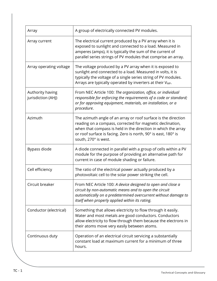| Array                                  | A group of electrically connected PV modules.                                                                                                                                                                                                                                          |
|----------------------------------------|----------------------------------------------------------------------------------------------------------------------------------------------------------------------------------------------------------------------------------------------------------------------------------------|
| Array current                          | The electrical current produced by a PV array when it is<br>exposed to sunlight and connected to a load. Measured in<br>amperes (amps), it is typically the sum of the current of<br>parallel series strings of PV modules that comprise an array.                                     |
| Array operating voltage                | The voltage produced by a PV array when it is exposed to<br>sunlight and connected to a load. Measured in volts, it is<br>typically the voltage of a single series string of PV modules.<br>Arrays are typically operated by inverters at their V <sub>MP</sub> .                      |
| Authority having<br>jurisdiction (AHJ) | From NEC Article 100: The organization, office, or individual<br>responsible for enforcing the requirements of a code or standard;<br>or for approving equipment, materials, an installation, or a<br>procedure.                                                                       |
| Azimuth                                | The azimuth angle of an array or roof surface is the direction<br>reading on a compass, corrected for magnetic declination,<br>when that compass is held in the direction in which the array<br>or roof surface is facing. Zero is north, 90° is east, 180° is<br>south, 270° is west. |
| Bypass diode                           | A diode connected in parallel with a group of cells within a PV<br>module for the purpose of providing an alternative path for<br>current in case of module shading or failure.                                                                                                        |
| Cell efficiency                        | The ratio of the electrical power actually produced by a<br>photovoltaic cell to the solar power striking the cell.                                                                                                                                                                    |
| Circuit breaker                        | From NEC Article 100: A device designed to open and close a<br>circuit by non-automatic means and to open the circuit<br>automatically on a predetermined overcurrent without damage to<br>itself when properly applied within its rating.                                             |
| Conductor (electrical)                 | Something that allows electricity to flow through it easily.<br>Water and most metals are good conductors. Conductors<br>allow electricity to flow through them because the electrons in<br>their atoms move very easily between atoms.                                                |
| Continuous duty                        | Operation of an electrical circuit servicing a substantially<br>constant load at maximum current for a minimum of three<br>hours.                                                                                                                                                      |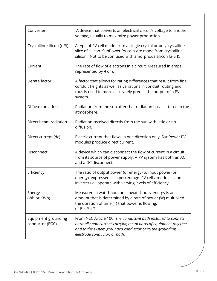| Converter                              | A device that converts an electrical circuit's voltage to another<br>voltage, usually to maximize power production.                                                                                                            |
|----------------------------------------|--------------------------------------------------------------------------------------------------------------------------------------------------------------------------------------------------------------------------------|
| Crystalline silicon (c-Si)             | A type of PV cell made from a single crystal or polycrystalline<br>slice of silicon. SunPower PV cells are made from crystalline<br>silicon. (Not to be confused with amorphous silicon [a-Si]).                               |
| Current                                | The rate of flow of electrons in a circuit. Measured in amps;<br>represented by A or I.                                                                                                                                        |
| Derate factor                          | A factor that allows for rating differences that result from final<br>conduit heights as well as variations in conduit routing and<br>thus is used to more accurately predict the output of a PV<br>system.                    |
| Diffuse radiation                      | Radiation from the sun after that radiation has scattered in the<br>atmosphere.                                                                                                                                                |
| Direct beam radiation                  | Radiation received directly from the sun with little or no<br>diffusion.                                                                                                                                                       |
| Direct current (dc)                    | Electric current that flows in one direction only. SunPower PV<br>modules produce direct current.                                                                                                                              |
| Disconnect                             | A device which can disconnect the flow of current in a circuit<br>from its source of power supply. A PV system has both an AC<br>and a DC disconnect.                                                                          |
| Efficiency                             | The ratio of output power (or energy) to input power (or<br>energy); expressed as a percentage. PV cells, modules, and<br>inverters all operate with varying levels of efficiency.                                             |
| Energy<br>(Wh or KWh)                  | Measured in watt-hours or kilowatt-hours, energy is an<br>amount that is determined by a rate of power (W) multiplied<br>the duration of time (T) that power is flowing,<br>or $E = P \times T$ .                              |
| Equipment grounding<br>conductor (EGC) | From NEC Article 100: The conductive path installed to connect<br>normally non-current-carrying metal parts of equipment together<br>and to the system grounded conductor or to the grounding<br>electrode conductor, or both. |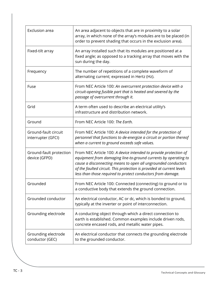| Exclusion area                             | An area adjacent to objects that are in proximity to a solar<br>array, in which none of the array's modules are to be placed (in<br>order to prevent shading that occurs in the exclusion area).                                                                                                                                             |
|--------------------------------------------|----------------------------------------------------------------------------------------------------------------------------------------------------------------------------------------------------------------------------------------------------------------------------------------------------------------------------------------------|
| Fixed-tilt array                           | An array installed such that its modules are positioned at a<br>fixed angle; as opposed to a tracking array that moves with the<br>sun during the day.                                                                                                                                                                                       |
| Frequency                                  | The number of repetitions of a complete waveform of<br>alternating current; expressed in Hertz (Hz).                                                                                                                                                                                                                                         |
| Fuse                                       | From NEC Article 100: An overcurrent protection device with a<br>circuit-opening fusible part that is heated and severed by the<br>passage of overcurrent through it.                                                                                                                                                                        |
| Grid                                       | A term often used to describe an electrical utility's<br>infrastructure and distribution network.                                                                                                                                                                                                                                            |
| Ground                                     | From NEC Article 100: The Earth.                                                                                                                                                                                                                                                                                                             |
| Ground-fault circuit<br>interrupter (GFCI) | From NEC Article 100: A device intended for the protection of<br>personnel that functions to de-energize a circuit or portion thereof<br>when a current to ground exceeds safe values.                                                                                                                                                       |
| Ground-fault protection<br>device (GFPD)   | From NEC Article 100: A device intended to provide protection of<br>equipment from damaging line-to-ground currents by operating to<br>cause a disconnecting means to open all ungrounded conductors<br>of the faulted circuit. This protection is provided at current levels<br>less than those required to protect conductors from damage. |
| Grounded                                   | From NEC Article 100: Connected (connecting) to ground or to<br>a conductive body that extends the ground connection.                                                                                                                                                                                                                        |
| Grounded conductor                         | An electrical conductor, AC or dc, which is bonded to ground,<br>typically at the inverter or point of interconnection.                                                                                                                                                                                                                      |
| Grounding electrode                        | A conducting object through which a direct connection to<br>earth is established. Common examples include driven rods,<br>concrete encased rods, and metallic water pipes.                                                                                                                                                                   |
| Grounding electrode<br>conductor (GEC)     | An electrical conductor that connects the grounding electrode<br>to the grounded conductor.                                                                                                                                                                                                                                                  |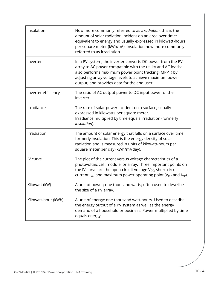| Insolation          | Now more commonly referred to as irradiation, this is the<br>amount of solar radiation incident on an area over time;<br>equivalent to energy and usually expressed in kilowatt-hours<br>per square meter (kWh/m <sup>2</sup> ). Insolation now more commonly<br>referred to as irradiation. |
|---------------------|----------------------------------------------------------------------------------------------------------------------------------------------------------------------------------------------------------------------------------------------------------------------------------------------|
| Inverter            | In a PV system, the inverter converts DC power from the PV<br>array to AC power compatible with the utility and AC loads;<br>also performs maximum power point tracking (MPPT) by<br>adjusting array voltage levels to achieve maximum power<br>output; and provides data for the end user.  |
| Inverter efficiency | The ratio of AC output power to DC input power of the<br>inverter.                                                                                                                                                                                                                           |
| Irradiance          | The rate of solar power incident on a surface; usually<br>expressed in kilowatts per square meter.<br>Irradiance multiplied by time equals irradiation (formerly<br>insolation).                                                                                                             |
| Irradiation         | The amount of solar energy that falls on a surface over time;<br>formerly insolation. This is the energy density of solar<br>radiation and is measured in units of kilowatt-hours per<br>square meter per day (kWh/m <sup>2</sup> /day).                                                     |
| IV curve            | The plot of the current versus voltage characteristics of a<br>photovoltaic cell, module, or array. Three important points on<br>the IV curve are the open-circuit voltage $V_{OC}$ , short-circuit<br>current $I_{SC}$ , and maximum power operating point ( $V_{MP}$ and $I_{MP}$ ).       |
| Kilowatt (kW)       | A unit of power; one thousand watts; often used to describe<br>the size of a PV array.                                                                                                                                                                                                       |
| Kilowatt-hour (kWh) | A unit of energy; one thousand watt-hours. Used to describe<br>the energy output of a PV system as well as the energy<br>demand of a household or business. Power multiplied by time<br>equals energy.                                                                                       |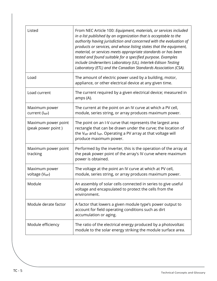| Listed                                      | From NEC Article 100: Equipment, materials, or services included<br>in a list published by an organization that is acceptable to the<br>authority having jurisdiction and concerned with the evaluation of<br>products or services, and whose listing states that the equipment,<br>material, or services meets appropriate standards or has been<br>tested and found suitable for a specified purpose. Examples<br>include Underwriters Laboratory (UL), Intertek-Edison Testing<br>Laboratory (ETL) and the Canadian Standards Association (CSA). |
|---------------------------------------------|-----------------------------------------------------------------------------------------------------------------------------------------------------------------------------------------------------------------------------------------------------------------------------------------------------------------------------------------------------------------------------------------------------------------------------------------------------------------------------------------------------------------------------------------------------|
| Load                                        | The amount of electric power used by a building, motor,<br>appliance, or other electrical device at any given time.                                                                                                                                                                                                                                                                                                                                                                                                                                 |
| Load current                                | The current required by a given electrical device; measured in<br>amps (A).                                                                                                                                                                                                                                                                                                                                                                                                                                                                         |
| Maximum power<br>current (I <sub>MP</sub> ) | The current at the point on an IV curve at which a PV cell,<br>module, series string, or array produces maximum power.                                                                                                                                                                                                                                                                                                                                                                                                                              |
| Maximum power point<br>(peak power point)   | The point on an I-V curve that represents the largest area<br>rectangle that can be drawn under the curve; the location of<br>the V <sub>MP</sub> and I <sub>MP</sub> . Operating a PV array at that voltage will<br>produce maximum power.                                                                                                                                                                                                                                                                                                         |
| Maximum power point<br>tracking             | Performed by the inverter, this is the operation of the array at<br>the peak power point of the array's IV curve where maximum<br>power is obtained.                                                                                                                                                                                                                                                                                                                                                                                                |
| Maximum power<br>voltage (V <sub>MP</sub> ) | The voltage at the point an IV curve at which at PV cell,<br>module, series string, or array produces maximum power.                                                                                                                                                                                                                                                                                                                                                                                                                                |
| Module                                      | An assembly of solar cells connected in series to give useful<br>voltage and encapsulated to protect the cells from the<br>environment.                                                                                                                                                                                                                                                                                                                                                                                                             |
| Module derate factor                        | A factor that lowers a given module type's power output to<br>account for field operating conditions such as dirt<br>accumulation or aging.                                                                                                                                                                                                                                                                                                                                                                                                         |
| Module efficiency                           | The ratio of the electrical energy produced by a photovoltaic<br>module to the solar energy striking the module surface area.                                                                                                                                                                                                                                                                                                                                                                                                                       |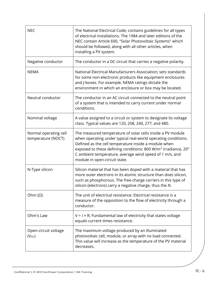| <b>NEC</b>                                  | The National Electrical Code; contains guidelines for all types<br>of electrical installations. The 1984 and later editions of the<br>NEC contain Article 690, "Solar Photovoltaic Systems" which<br>should be followed, along with all other articles, when<br>installing a PV system.                                                                       |
|---------------------------------------------|---------------------------------------------------------------------------------------------------------------------------------------------------------------------------------------------------------------------------------------------------------------------------------------------------------------------------------------------------------------|
| Negative conductor                          | The conductor in a DC circuit that carries a negative polarity.                                                                                                                                                                                                                                                                                               |
| <b>NEMA</b>                                 | National Electrical Manufacturers Association; sets standards<br>for some non-electronic products like equipment enclosures<br>and J-boxes. For example, NEMA ratings dictate the<br>environment in which an enclosure or box may be located.                                                                                                                 |
| Neutral conductor                           | The conductor in an AC circuit connected to the neutral point<br>of a system that is intended to carry current under normal<br>conditions.                                                                                                                                                                                                                    |
| Nominal voltage                             | A value assigned to a circuit or system to designate its voltage<br>class. Typical values are 120, 208, 240, 277, and 480.                                                                                                                                                                                                                                    |
| Normal operating cell<br>temperature (NOCT) | The measured temperature of solar cells inside a PV module<br>when operating under typical real-world operating conditions.<br>Defined as the cell temperature inside a module when<br>exposed to these defining conditions: 800 W/m <sup>2</sup> irradiance, 20°<br>C ambient temperature, average wind speed of 1 m/s, and<br>module in open-circuit state. |
| N-Type silicon                              | Silicon material that has been doped with a material that has<br>more outer electrons in its atomic structure than does silicon,<br>such as phosphorous. The free-charge carriers in this type of<br>silicon (electrons) carry a negative charge, thus the N.                                                                                                 |
| Ohm $(\Omega)$                              | The unit of electrical resistance. Electrical resistance is a<br>measure of the opposition to the flow of electricity through a<br>conductor.                                                                                                                                                                                                                 |
| Ohm's Law                                   | $V = I \times R$ ; Fundamental law of electricity that states voltage<br>equals current times resistance.                                                                                                                                                                                                                                                     |
| Open-circuit voltage<br>$(V_{OC})$          | The maximum voltage produced by an illuminated<br>photovoltaic cell, module, or array with no load connected.<br>This value will increase as the temperature of the PV material<br>decreases.                                                                                                                                                                 |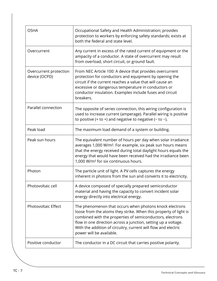| <b>OSHA</b>                             | Occupational Safety and Health Administration; provides<br>protection to workers by enforcing safety standards; exists at<br>both the federal and state level.                                                                                                                                                                                           |
|-----------------------------------------|----------------------------------------------------------------------------------------------------------------------------------------------------------------------------------------------------------------------------------------------------------------------------------------------------------------------------------------------------------|
| Overcurrent                             | Any current in excess of the rated current of equipment or the<br>ampacity of a conductor. A state of overcurrent may result<br>from overload, short circuit, or ground fault.                                                                                                                                                                           |
| Overcurrent protection<br>device (OCPD) | From NEC Article 100: A device that provides overcurrent<br>protection for conductors and equipment by opening the<br>circuit if the current reaches a value that will cause an<br>excessive or dangerous temperature in conductors or<br>conductor insulation. Examples include fuses and circuit<br>breakers.                                          |
| Parallel connection                     | The opposite of series connection, this wiring configuration is<br>used to increase current (amperage). Parallel wiring is positive<br>to positive (+ to +) and negative to negative (- to -).                                                                                                                                                           |
| Peak load                               | The maximum load demand of a system or building.                                                                                                                                                                                                                                                                                                         |
| Peak sun hours                          | The equivalent number of hours per day when solar irradiance<br>averages 1,000 W/m <sup>2</sup> . For example, six peak sun hours means<br>that the energy received during total daylight hours equals the<br>energy that would have been received had the irradiance been<br>1,000 W/m <sup>2</sup> for six continuous hours.                           |
| Photon                                  | The particle unit of light. A PV cells captures the energy<br>inherent in photons from the sun and converts it to electricity.                                                                                                                                                                                                                           |
| Photovoltaic cell                       | A device composed of specially prepared semiconductor<br>material and having the capacity to convert incident solar<br>energy directly into electrical energy.                                                                                                                                                                                           |
| Photovoltaic Effect                     | The phenomenon that occurs when photons knock electrons<br>loose from the atoms they strike. When this property of light is<br>combined with the properties of semiconductors, electrons<br>flow in one direction across a junction, setting up a voltage.<br>With the addition of circuitry, current will flow and electric<br>power will be available. |
| Positive conductor                      | The conductor in a DC circuit that carries positive polarity.                                                                                                                                                                                                                                                                                            |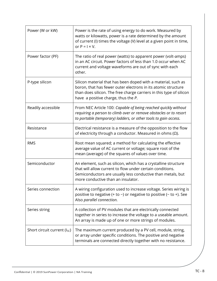| Power (W or kW)               | Power is the rate of using energy to do work. Measured by<br>watts or kilowatts, power is a rate determined by the amount<br>of current (I) times the voltage (V) level at a given point in time,<br>or $P =   \times V$ .                   |
|-------------------------------|----------------------------------------------------------------------------------------------------------------------------------------------------------------------------------------------------------------------------------------------|
| Power factor (PF)             | The ratio of real power (watts) to apparent power (volt-amps)<br>in an AC circuit. Power factors of less than 1.0 occur when AC<br>current and voltage waveforms are out of sync with each<br>other.                                         |
| P-type silicon                | Silicon material that has been doped with a material, such as<br>boron, that has fewer outer electrons in its atomic structure<br>than does silicon. The free charge carriers in this type of silicon<br>have a positive charge, thus the P. |
| Readily accessible            | From NEC Article 100: Capable of being reached quickly without<br>requiring a person to climb over or remove obstacles or to resort<br>to portable (temporary) ladders, or other tools to gain access.                                       |
| Resistance                    | Electrical resistance is a measure of the opposition to the flow<br>of electricity through a conductor. Measured in ohms $(\Omega)$ .                                                                                                        |
| <b>RMS</b>                    | Root mean squared; a method for calculating the effective<br>average value of AC current or voltage; square root of the<br>mean (average) of the squares of values over time.                                                                |
| Semiconductor                 | An element, such as silicon, which has a crystalline structure<br>that will allow current to flow under certain conditions.<br>Semiconductors are usually less conductive than metals, but<br>more conductive than an insulator.             |
| Series connection             | A wiring configuration used to increase voltage. Series wiring is<br>positive to negative (+ to -) or negative to positive (- to +). See<br>Also parallel connection.                                                                        |
| Series string                 | A collection of PV modules that are electrically connected<br>together in series to increase the voltage to a useable amount.<br>An array is made up of one or more strings of modules.                                                      |
| Short circuit current $(ISC)$ | The maximum current produced by a PV cell, module, string,<br>or array under specific conditions. The positive and negative<br>terminals are connected directly together with no resistance.                                                 |